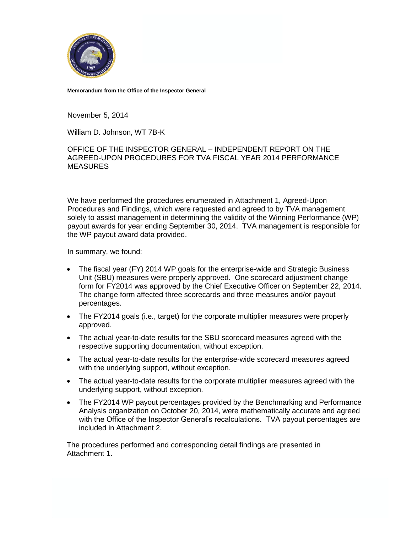

**Memorandum from the Office of the Inspector General**

November 5, 2014

William D. Johnson, WT 7B-K

OFFICE OF THE INSPECTOR GENERAL – INDEPENDENT REPORT ON THE AGREED-UPON PROCEDURES FOR TVA FISCAL YEAR 2014 PERFORMANCE **MEASURES** 

We have performed the procedures enumerated in Attachment 1, Agreed-Upon Procedures and Findings, which were requested and agreed to by TVA management solely to assist management in determining the validity of the Winning Performance (WP) payout awards for year ending September 30, 2014. TVA management is responsible for the WP payout award data provided.

In summary, we found:

- The fiscal year (FY) 2014 WP goals for the enterprise-wide and Strategic Business Unit (SBU) measures were properly approved. One scorecard adjustment change form for FY2014 was approved by the Chief Executive Officer on September 22, 2014. The change form affected three scorecards and three measures and/or payout percentages.
- The FY2014 goals (i.e., target) for the corporate multiplier measures were properly approved.
- The actual year-to-date results for the SBU scorecard measures agreed with the respective supporting documentation, without exception.
- The actual year-to-date results for the enterprise-wide scorecard measures agreed with the underlying support, without exception.
- The actual year-to-date results for the corporate multiplier measures agreed with the underlying support, without exception.
- The FY2014 WP payout percentages provided by the Benchmarking and Performance Analysis organization on October 20, 2014, were mathematically accurate and agreed with the Office of the Inspector General's recalculations. TVA payout percentages are included in Attachment 2.

The procedures performed and corresponding detail findings are presented in Attachment 1.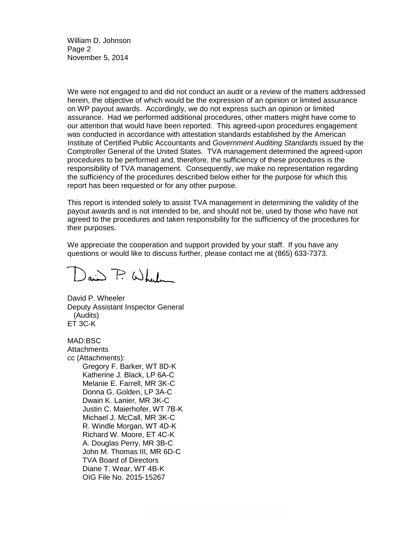William D. Johnson Page 2 November 5, 2014

We were not engaged to and did not conduct an audit or a review of the matters addressed herein, the objective of which would be the expression of an opinion or limited assurance on WP payout awards. Accordingly, we do not express such an opinion or limited assurance. Had we performed additional procedures, other matters might have come to our attention that would have been reported. This agreed-upon procedures engagement was conducted in accordance with attestation standards established by the American Institute of Certified Public Accountants and *Government Auditing Standards* issued by the Comptroller General of the United States. TVA management determined the agreed-upon procedures to be performed and, therefore, the sufficiency of these procedures is the responsibility of TVA management. Consequently, we make no representation regarding the sufficiency of the procedures described below either for the purpose for which this report has been requested or for any other purpose.

This report is intended solely to assist TVA management in determining the validity of the payout awards and is not intended to be, and should not be, used by those who have not agreed to the procedures and taken responsibility for the sufficiency of the procedures for their purposes.

We appreciate the cooperation and support provided by your staff. If you have any questions or would like to discuss further, please contact me at (865) 633-7373.

 $\bigcap_{a,b} \bigcap \mathcal{L} \cup \bigcup_{b}$ 

David P. Wheeler Deputy Assistant Inspector General (Audits) ET 3C-K

MAD:BSC **Attachments** cc (Attachments): Gregory F. Barker, WT 8D-K Katherine J. Black, LP 6A-C Melanie E. Farrell, MR 3K-C Donna G. Golden, LP 3A-C Dwain K. Lanier, MR 3K-C Justin C. Maierhofer, WT 7B-K Michael J. McCall, MR 3K-C R. Windle Morgan, WT 4D-K Richard W. Moore, ET 4C-K A. Douglas Perry, MR 3B-C John M. Thomas III, MR 6D-C TVA Board of Directors Diane T. Wear, WT 4B-K OIG File No. 2015-15267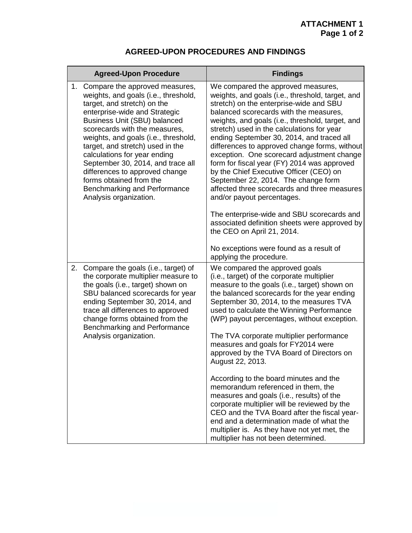## **AGREED-UPON PROCEDURES AND FINDINGS**

| <b>Agreed-Upon Procedure</b>                                                                                                                                                                                                                                                                                                                                                                                                                                                              | <b>Findings</b>                                                                                                                                                                                                                                                                                                                                                                                                                                                                                                                                                                                                                                                                                                                                                                                                                                                  |
|-------------------------------------------------------------------------------------------------------------------------------------------------------------------------------------------------------------------------------------------------------------------------------------------------------------------------------------------------------------------------------------------------------------------------------------------------------------------------------------------|------------------------------------------------------------------------------------------------------------------------------------------------------------------------------------------------------------------------------------------------------------------------------------------------------------------------------------------------------------------------------------------------------------------------------------------------------------------------------------------------------------------------------------------------------------------------------------------------------------------------------------------------------------------------------------------------------------------------------------------------------------------------------------------------------------------------------------------------------------------|
| 1. Compare the approved measures,<br>weights, and goals (i.e., threshold,<br>target, and stretch) on the<br>enterprise-wide and Strategic<br><b>Business Unit (SBU) balanced</b><br>scorecards with the measures,<br>weights, and goals (i.e., threshold,<br>target, and stretch) used in the<br>calculations for year ending<br>September 30, 2014, and trace all<br>differences to approved change<br>forms obtained from the<br>Benchmarking and Performance<br>Analysis organization. | We compared the approved measures,<br>weights, and goals (i.e., threshold, target, and<br>stretch) on the enterprise-wide and SBU<br>balanced scorecards with the measures,<br>weights, and goals (i.e., threshold, target, and<br>stretch) used in the calculations for year<br>ending September 30, 2014, and traced all<br>differences to approved change forms, without<br>exception. One scorecard adjustment change<br>form for fiscal year (FY) 2014 was approved<br>by the Chief Executive Officer (CEO) on<br>September 22, 2014. The change form<br>affected three scorecards and three measures<br>and/or payout percentages.<br>The enterprise-wide and SBU scorecards and<br>associated definition sheets were approved by<br>the CEO on April 21, 2014.<br>No exceptions were found as a result of                                                 |
| 2. Compare the goals (i.e., target) of<br>the corporate multiplier measure to<br>the goals (i.e., target) shown on<br>SBU balanced scorecards for year<br>ending September 30, 2014, and<br>trace all differences to approved<br>change forms obtained from the<br>Benchmarking and Performance<br>Analysis organization.                                                                                                                                                                 | applying the procedure.<br>We compared the approved goals<br>(i.e., target) of the corporate multiplier<br>measure to the goals (i.e., target) shown on<br>the balanced scorecards for the year ending<br>September 30, 2014, to the measures TVA<br>used to calculate the Winning Performance<br>(WP) payout percentages, without exception.<br>The TVA corporate multiplier performance<br>measures and goals for FY2014 were<br>approved by the TVA Board of Directors on<br>August 22, 2013.<br>According to the board minutes and the<br>memorandum referenced in them, the<br>measures and goals (i.e., results) of the<br>corporate multiplier will be reviewed by the<br>CEO and the TVA Board after the fiscal year-<br>end and a determination made of what the<br>multiplier is. As they have not yet met, the<br>multiplier has not been determined. |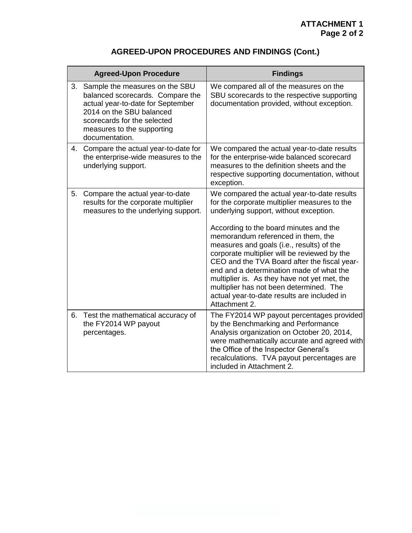## **AGREED-UPON PROCEDURES AND FINDINGS (Cont.)**

|    | <b>Agreed-Upon Procedure</b>                                                                                                                                                                                       | <b>Findings</b>                                                                                                                                                                                                                                                                                                                                                                                                                                                                                                                                                           |
|----|--------------------------------------------------------------------------------------------------------------------------------------------------------------------------------------------------------------------|---------------------------------------------------------------------------------------------------------------------------------------------------------------------------------------------------------------------------------------------------------------------------------------------------------------------------------------------------------------------------------------------------------------------------------------------------------------------------------------------------------------------------------------------------------------------------|
| 3. | Sample the measures on the SBU<br>balanced scorecards. Compare the<br>actual year-to-date for September<br>2014 on the SBU balanced<br>scorecards for the selected<br>measures to the supporting<br>documentation. | We compared all of the measures on the<br>SBU scorecards to the respective supporting<br>documentation provided, without exception.                                                                                                                                                                                                                                                                                                                                                                                                                                       |
| 4. | Compare the actual year-to-date for<br>the enterprise-wide measures to the<br>underlying support.                                                                                                                  | We compared the actual year-to-date results<br>for the enterprise-wide balanced scorecard<br>measures to the definition sheets and the<br>respective supporting documentation, without<br>exception.                                                                                                                                                                                                                                                                                                                                                                      |
| 5. | Compare the actual year-to-date<br>results for the corporate multiplier<br>measures to the underlying support.                                                                                                     | We compared the actual year-to-date results<br>for the corporate multiplier measures to the<br>underlying support, without exception.<br>According to the board minutes and the<br>memorandum referenced in them, the<br>measures and goals (i.e., results) of the<br>corporate multiplier will be reviewed by the<br>CEO and the TVA Board after the fiscal year-<br>end and a determination made of what the<br>multiplier is. As they have not yet met, the<br>multiplier has not been determined. The<br>actual year-to-date results are included in<br>Attachment 2. |
| 6. | Test the mathematical accuracy of<br>the FY2014 WP payout<br>percentages.                                                                                                                                          | The FY2014 WP payout percentages provided<br>by the Benchmarking and Performance<br>Analysis organization on October 20, 2014,<br>were mathematically accurate and agreed with<br>the Office of the Inspector General's<br>recalculations. TVA payout percentages are<br>included in Attachment 2.                                                                                                                                                                                                                                                                        |